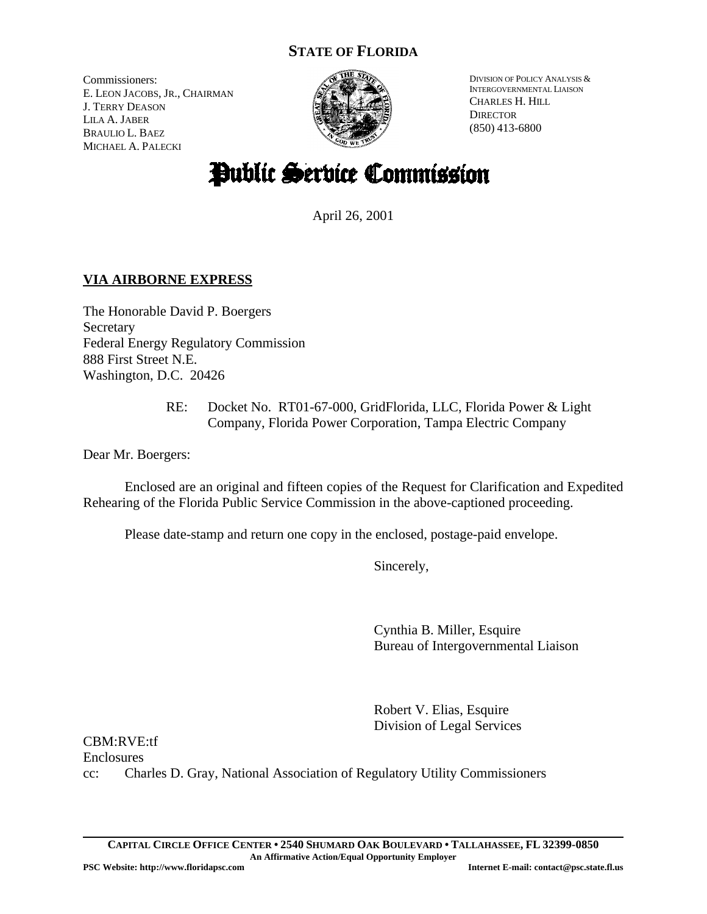# **STATE OF FLORIDA**

Commissioners: E. LEON JACOBS, JR., CHAIRMAN J. TERRY DEASON LILA A. JABER BRAULIO L. BAEZ MICHAEL A. PALECKI



DIVISION OF POLICY ANALYSIS & INTERGOVERNMENTAL LIAISON CHARLES H. HILL **DIRECTOR** (850) 413-6800

# Public Service Commission

April 26, 2001

# **VIA AIRBORNE EXPRESS**

The Honorable David P. Boergers Secretary Federal Energy Regulatory Commission 888 First Street N.E. Washington, D.C. 20426

> RE: Docket No. RT01-67-000, GridFlorida, LLC, Florida Power & Light Company, Florida Power Corporation, Tampa Electric Company

Dear Mr. Boergers:

Enclosed are an original and fifteen copies of the Request for Clarification and Expedited Rehearing of the Florida Public Service Commission in the above-captioned proceeding.

Please date-stamp and return one copy in the enclosed, postage-paid envelope.

Sincerely,

Cynthia B. Miller, Esquire Bureau of Intergovernmental Liaison

Robert V. Elias, Esquire Division of Legal Services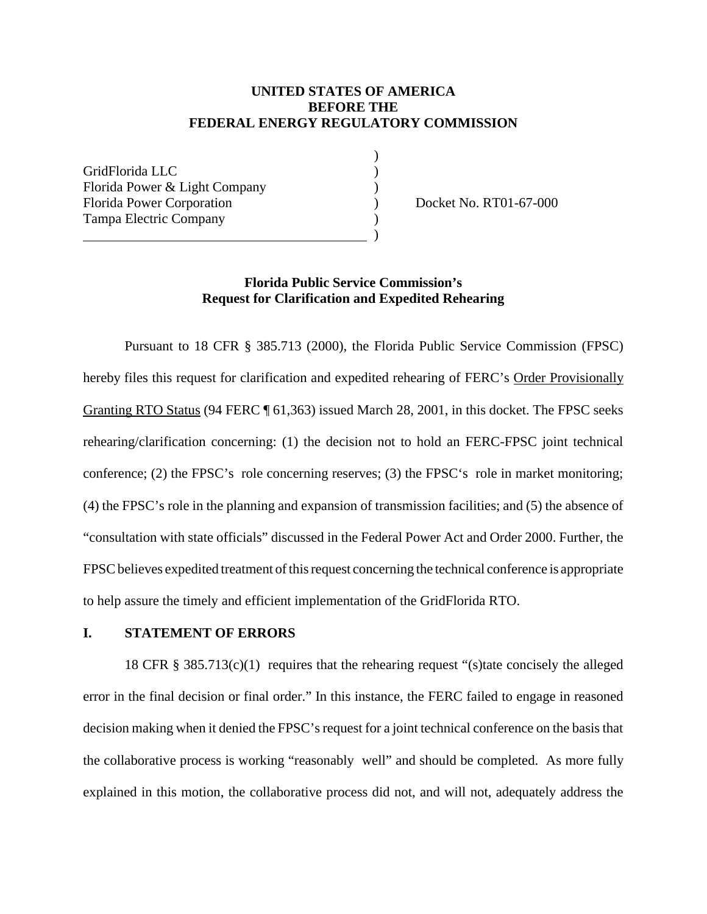#### **UNITED STATES OF AMERICA BEFORE THE FEDERAL ENERGY REGULATORY COMMISSION**

)

GridFlorida LLC ) Florida Power & Light Company (1994) Florida Power Corporation (a) Docket No. RT01-67-000 Tampa Electric Company (1996)

) and the contract of  $\overline{\phantom{a}}$  (  $\overline{\phantom{a}}$  )

#### **Florida Public Service Commission's Request for Clarification and Expedited Rehearing**

Pursuant to 18 CFR § 385.713 (2000), the Florida Public Service Commission (FPSC) hereby files this request for clarification and expedited rehearing of FERC's Order Provisionally Granting RTO Status (94 FERC ¶ 61,363) issued March 28, 2001, in this docket. The FPSC seeks rehearing/clarification concerning: (1) the decision not to hold an FERC-FPSC joint technical conference; (2) the FPSC's role concerning reserves; (3) the FPSC's role in market monitoring; (4) the FPSC's role in the planning and expansion of transmission facilities; and (5) the absence of "consultation with state officials" discussed in the Federal Power Act and Order 2000. Further, the FPSC believes expedited treatment of this request concerning the technical conference is appropriate to help assure the timely and efficient implementation of the GridFlorida RTO.

#### **I. STATEMENT OF ERRORS**

18 CFR  $\S 385.713(c)(1)$  requires that the rehearing request "(s)tate concisely the alleged error in the final decision or final order." In this instance, the FERC failed to engage in reasoned decision making when it denied the FPSC's request for a joint technical conference on the basis that the collaborative process is working "reasonably well" and should be completed. As more fully explained in this motion, the collaborative process did not, and will not, adequately address the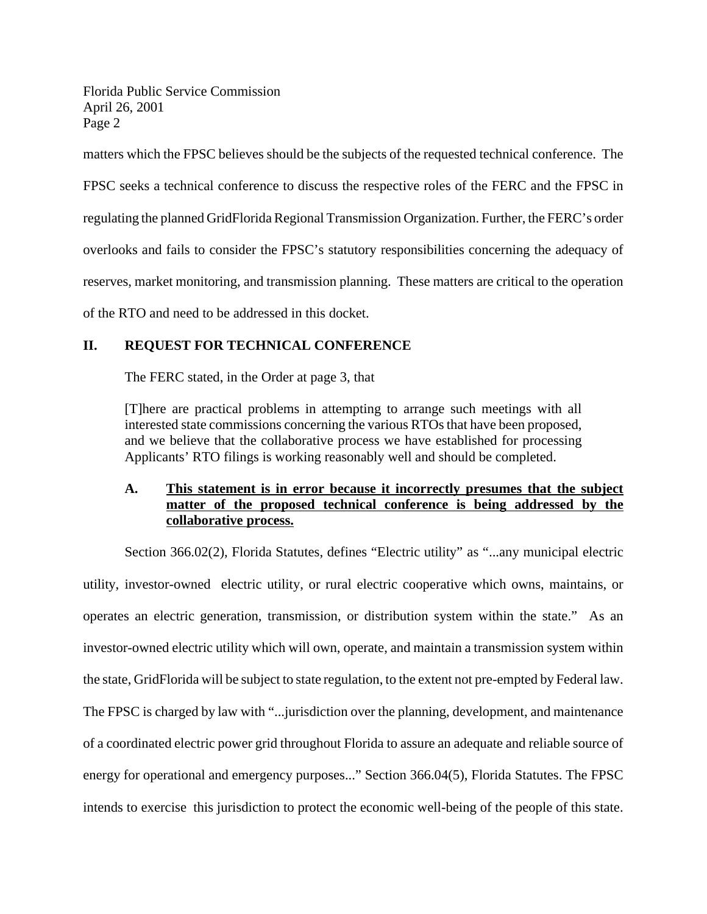matters which the FPSC believes should be the subjects of the requested technical conference. The FPSC seeks a technical conference to discuss the respective roles of the FERC and the FPSC in regulating the planned GridFlorida Regional Transmission Organization. Further, the FERC's order overlooks and fails to consider the FPSC's statutory responsibilities concerning the adequacy of reserves, market monitoring, and transmission planning. These matters are critical to the operation of the RTO and need to be addressed in this docket.

## **II. REQUEST FOR TECHNICAL CONFERENCE**

The FERC stated, in the Order at page 3, that

[T]here are practical problems in attempting to arrange such meetings with all interested state commissions concerning the various RTOs that have been proposed, and we believe that the collaborative process we have established for processing Applicants' RTO filings is working reasonably well and should be completed.

## **A. This statement is in error because it incorrectly presumes that the subject matter of the proposed technical conference is being addressed by the collaborative process.**

Section 366.02(2), Florida Statutes, defines "Electric utility" as "...any municipal electric utility, investor-owned electric utility, or rural electric cooperative which owns, maintains, or operates an electric generation, transmission, or distribution system within the state." As an investor-owned electric utility which will own, operate, and maintain a transmission system within the state, GridFlorida will be subject to state regulation, to the extent not pre-empted by Federal law. The FPSC is charged by law with "...jurisdiction over the planning, development, and maintenance of a coordinated electric power grid throughout Florida to assure an adequate and reliable source of energy for operational and emergency purposes..." Section 366.04(5), Florida Statutes. The FPSC intends to exercise this jurisdiction to protect the economic well-being of the people of this state.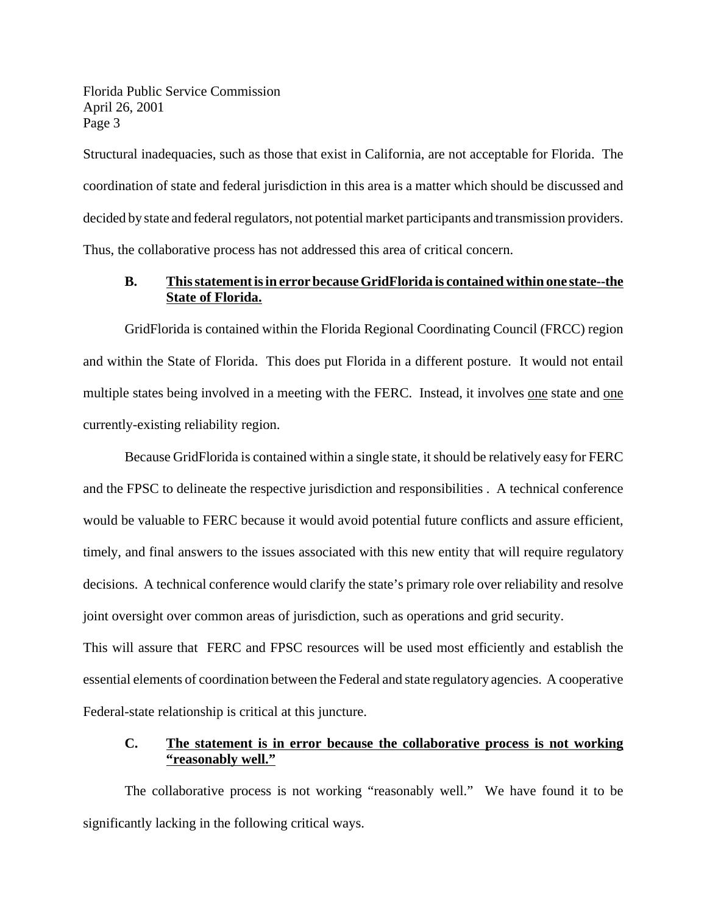Structural inadequacies, such as those that exist in California, are not acceptable for Florida. The coordination of state and federal jurisdiction in this area is a matter which should be discussed and decided by state and federal regulators, not potential market participants and transmission providers. Thus, the collaborative process has not addressed this area of critical concern.

## **B. Thisstatementisin error becauseGridFlorida is contained within one state--the State of Florida.**

GridFlorida is contained within the Florida Regional Coordinating Council (FRCC) region and within the State of Florida. This does put Florida in a different posture. It would not entail multiple states being involved in a meeting with the FERC. Instead, it involves one state and one currently-existing reliability region.

Because GridFlorida is contained within a single state, it should be relatively easy for FERC and the FPSC to delineate the respective jurisdiction and responsibilities . A technical conference would be valuable to FERC because it would avoid potential future conflicts and assure efficient, timely, and final answers to the issues associated with this new entity that will require regulatory decisions. A technical conference would clarify the state's primary role over reliability and resolve joint oversight over common areas of jurisdiction, such as operations and grid security.

This will assure that FERC and FPSC resources will be used most efficiently and establish the essential elements of coordination between the Federal and state regulatory agencies. A cooperative Federal-state relationship is critical at this juncture.

## **C. The statement is in error because the collaborative process is not working "reasonably well."**

The collaborative process is not working "reasonably well." We have found it to be significantly lacking in the following critical ways.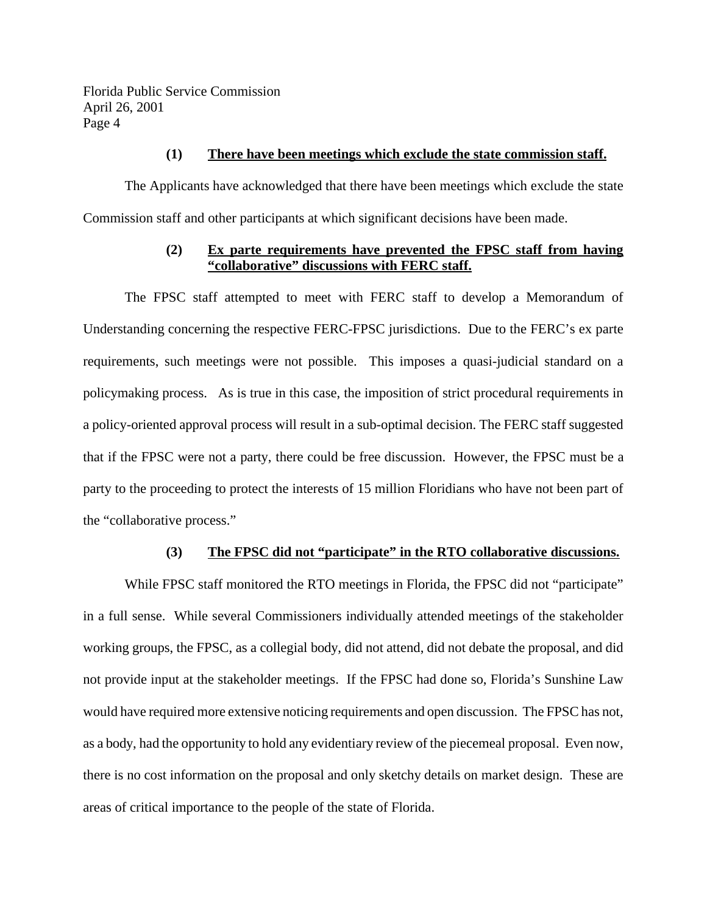#### **(1) There have been meetings which exclude the state commission staff.**

The Applicants have acknowledged that there have been meetings which exclude the state Commission staff and other participants at which significant decisions have been made.

#### **(2) Ex parte requirements have prevented the FPSC staff from having "collaborative" discussions with FERC staff.**

The FPSC staff attempted to meet with FERC staff to develop a Memorandum of Understanding concerning the respective FERC-FPSC jurisdictions. Due to the FERC's ex parte requirements, such meetings were not possible. This imposes a quasi-judicial standard on a policymaking process. As is true in this case, the imposition of strict procedural requirements in a policy-oriented approval process will result in a sub-optimal decision. The FERC staff suggested that if the FPSC were not a party, there could be free discussion. However, the FPSC must be a party to the proceeding to protect the interests of 15 million Floridians who have not been part of the "collaborative process."

#### **(3) The FPSC did not "participate" in the RTO collaborative discussions.**

While FPSC staff monitored the RTO meetings in Florida, the FPSC did not "participate" in a full sense. While several Commissioners individually attended meetings of the stakeholder working groups, the FPSC, as a collegial body, did not attend, did not debate the proposal, and did not provide input at the stakeholder meetings. If the FPSC had done so, Florida's Sunshine Law would have required more extensive noticing requirements and open discussion. The FPSC has not, as a body, had the opportunity to hold any evidentiary review of the piecemeal proposal. Even now, there is no cost information on the proposal and only sketchy details on market design. These are areas of critical importance to the people of the state of Florida.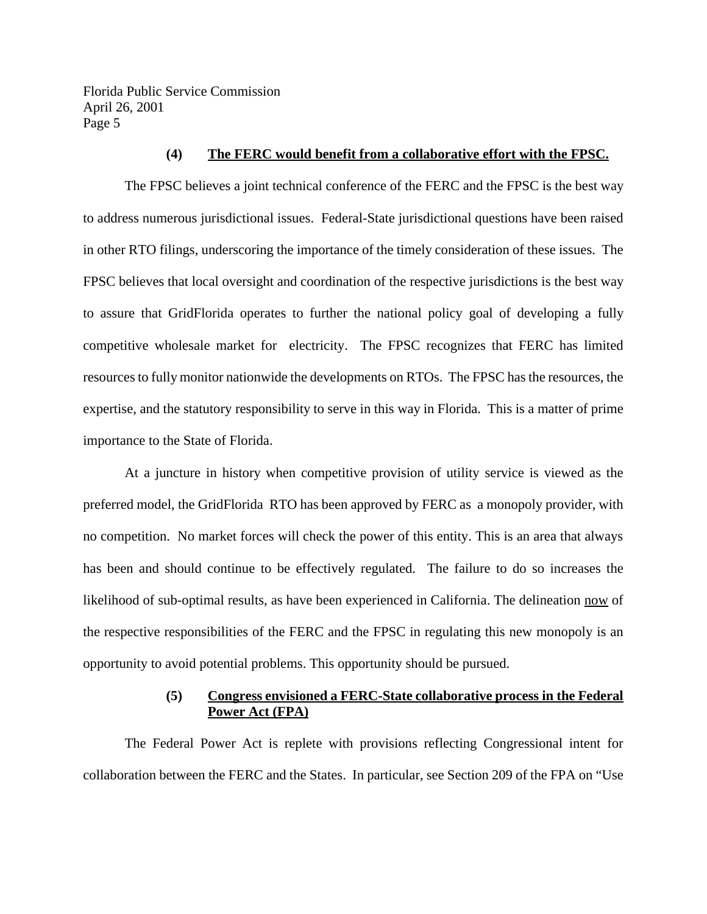#### **(4) The FERC would benefit from a collaborative effort with the FPSC.**

The FPSC believes a joint technical conference of the FERC and the FPSC is the best way to address numerous jurisdictional issues. Federal-State jurisdictional questions have been raised in other RTO filings, underscoring the importance of the timely consideration of these issues. The FPSC believes that local oversight and coordination of the respective jurisdictions is the best way to assure that GridFlorida operates to further the national policy goal of developing a fully competitive wholesale market for electricity. The FPSC recognizes that FERC has limited resourcesto fully monitor nationwide the developments on RTOs. The FPSC has the resources, the expertise, and the statutory responsibility to serve in this way in Florida. This is a matter of prime importance to the State of Florida.

At a juncture in history when competitive provision of utility service is viewed as the preferred model, the GridFlorida RTO has been approved by FERC as a monopoly provider, with no competition. No market forces will check the power of this entity. This is an area that always has been and should continue to be effectively regulated. The failure to do so increases the likelihood of sub-optimal results, as have been experienced in California. The delineation now of the respective responsibilities of the FERC and the FPSC in regulating this new monopoly is an opportunity to avoid potential problems. This opportunity should be pursued.

#### **(5) Congress envisioned a FERC-State collaborative process in the Federal Power Act (FPA)**

The Federal Power Act is replete with provisions reflecting Congressional intent for collaboration between the FERC and the States. In particular, see Section 209 of the FPA on "Use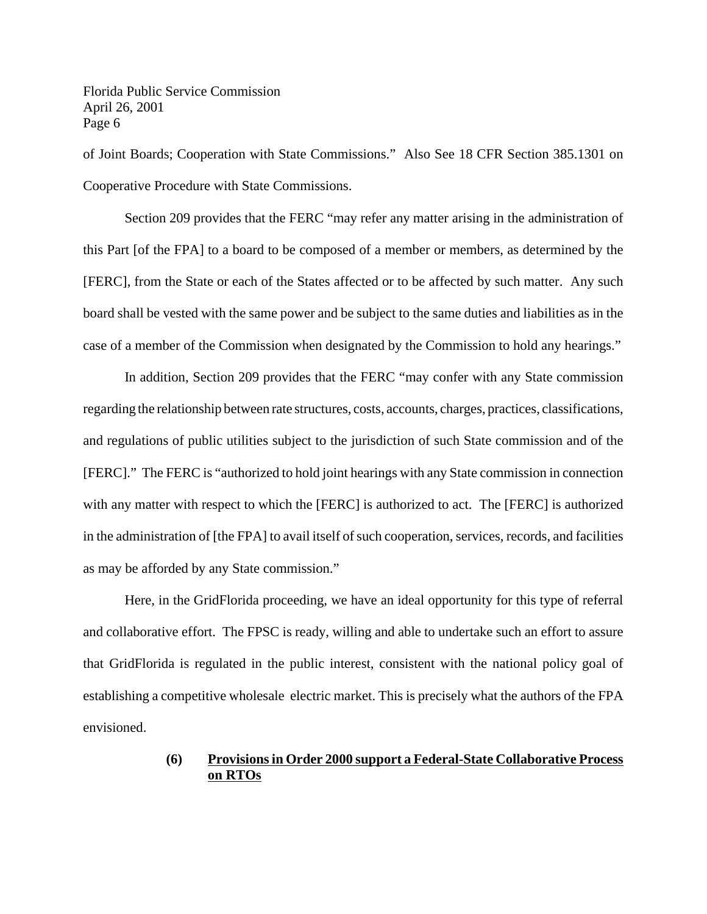of Joint Boards; Cooperation with State Commissions." Also See 18 CFR Section 385.1301 on Cooperative Procedure with State Commissions.

Section 209 provides that the FERC "may refer any matter arising in the administration of this Part [of the FPA] to a board to be composed of a member or members, as determined by the [FERC], from the State or each of the States affected or to be affected by such matter. Any such board shall be vested with the same power and be subject to the same duties and liabilities as in the case of a member of the Commission when designated by the Commission to hold any hearings."

In addition, Section 209 provides that the FERC "may confer with any State commission regarding the relationship between rate structures, costs, accounts, charges, practices, classifications, and regulations of public utilities subject to the jurisdiction of such State commission and of the [FERC]." The FERC is "authorized to hold joint hearings with any State commission in connection with any matter with respect to which the [FERC] is authorized to act. The [FERC] is authorized in the administration of [the FPA] to avail itself of such cooperation, services, records, and facilities as may be afforded by any State commission."

Here, in the GridFlorida proceeding, we have an ideal opportunity for this type of referral and collaborative effort. The FPSC is ready, willing and able to undertake such an effort to assure that GridFlorida is regulated in the public interest, consistent with the national policy goal of establishing a competitive wholesale electric market. This is precisely what the authors of the FPA envisioned.

## **(6) Provisionsin Order 2000 support a Federal-State Collaborative Process on RTOs**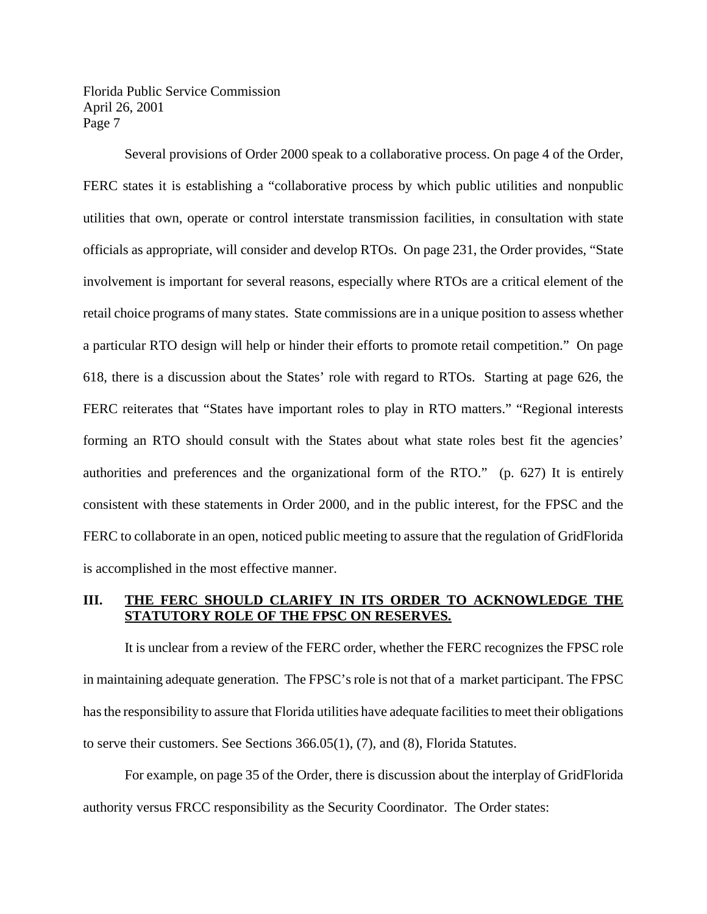Several provisions of Order 2000 speak to a collaborative process. On page 4 of the Order, FERC states it is establishing a "collaborative process by which public utilities and nonpublic utilities that own, operate or control interstate transmission facilities, in consultation with state officials as appropriate, will consider and develop RTOs. On page 231, the Order provides, "State involvement is important for several reasons, especially where RTOs are a critical element of the retail choice programs of many states. State commissions are in a unique position to assess whether a particular RTO design will help or hinder their efforts to promote retail competition." On page 618, there is a discussion about the States' role with regard to RTOs. Starting at page 626, the FERC reiterates that "States have important roles to play in RTO matters." "Regional interests forming an RTO should consult with the States about what state roles best fit the agencies' authorities and preferences and the organizational form of the RTO." (p. 627) It is entirely consistent with these statements in Order 2000, and in the public interest, for the FPSC and the FERC to collaborate in an open, noticed public meeting to assure that the regulation of GridFlorida is accomplished in the most effective manner.

#### **III. THE FERC SHOULD CLARIFY IN ITS ORDER TO ACKNOWLEDGE THE STATUTORY ROLE OF THE FPSC ON RESERVES.**

It is unclear from a review of the FERC order, whether the FERC recognizes the FPSC role in maintaining adequate generation. The FPSC's role is not that of a market participant. The FPSC has the responsibility to assure that Florida utilities have adequate facilities to meet their obligations to serve their customers. See Sections 366.05(1), (7), and (8), Florida Statutes.

For example, on page 35 of the Order, there is discussion about the interplay of GridFlorida authority versus FRCC responsibility as the Security Coordinator. The Order states: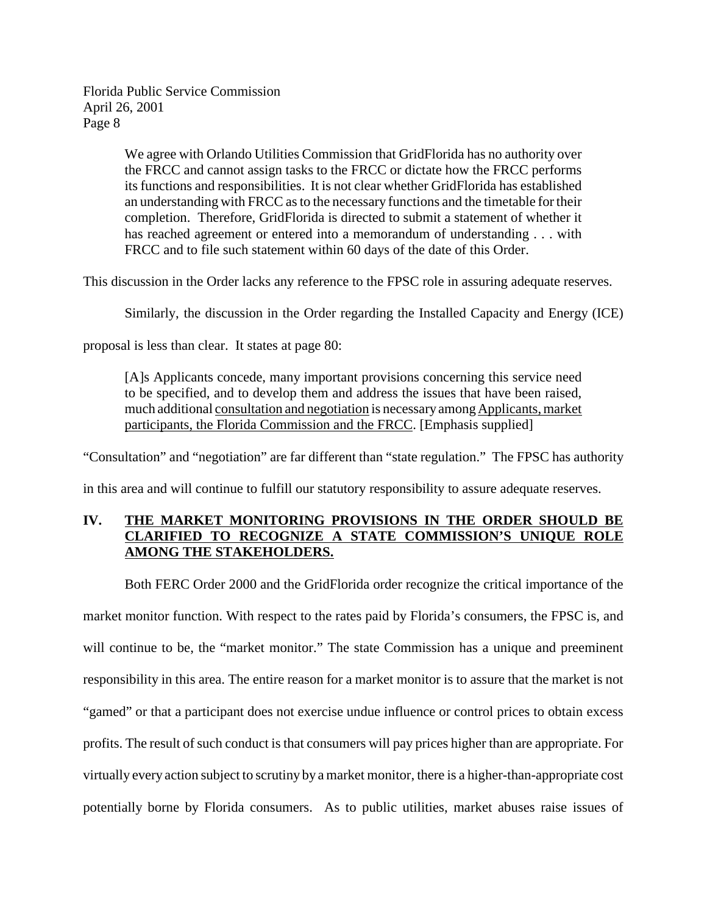> We agree with Orlando Utilities Commission that GridFlorida has no authority over the FRCC and cannot assign tasks to the FRCC or dictate how the FRCC performs its functions and responsibilities. It is not clear whether GridFlorida has established an understanding with FRCC asto the necessary functions and the timetable for their completion. Therefore, GridFlorida is directed to submit a statement of whether it has reached agreement or entered into a memorandum of understanding . . . with FRCC and to file such statement within 60 days of the date of this Order.

This discussion in the Order lacks any reference to the FPSC role in assuring adequate reserves.

Similarly, the discussion in the Order regarding the Installed Capacity and Energy (ICE)

proposal is less than clear. It states at page 80:

[A]s Applicants concede, many important provisions concerning this service need to be specified, and to develop them and address the issues that have been raised, much additional consultation and negotiation is necessary among Applicants, market participants, the Florida Commission and the FRCC. [Emphasis supplied]

"Consultation" and "negotiation" are far different than "state regulation." The FPSC has authority

in this area and will continue to fulfill our statutory responsibility to assure adequate reserves.

## **IV. THE MARKET MONITORING PROVISIONS IN THE ORDER SHOULD BE CLARIFIED TO RECOGNIZE A STATE COMMISSION'S UNIQUE ROLE AMONG THE STAKEHOLDERS.**

Both FERC Order 2000 and the GridFlorida order recognize the critical importance of the market monitor function. With respect to the rates paid by Florida's consumers, the FPSC is, and will continue to be, the "market monitor." The state Commission has a unique and preeminent responsibility in this area. The entire reason for a market monitor is to assure that the market is not "gamed" or that a participant does not exercise undue influence or control prices to obtain excess profits. The result of such conduct is that consumers will pay prices higher than are appropriate. For virtually every action subject to scrutiny by a market monitor, there is a higher-than-appropriate cost potentially borne by Florida consumers. As to public utilities, market abuses raise issues of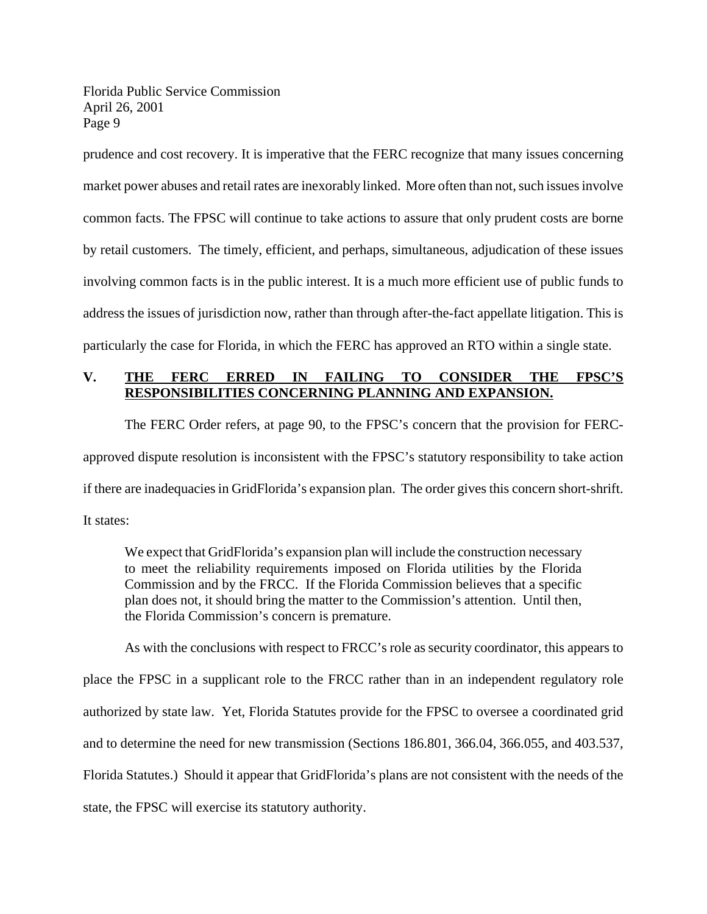prudence and cost recovery. It is imperative that the FERC recognize that many issues concerning market power abuses and retail rates are inexorably linked. More often than not, such issues involve common facts. The FPSC will continue to take actions to assure that only prudent costs are borne by retail customers. The timely, efficient, and perhaps, simultaneous, adjudication of these issues involving common facts is in the public interest. It is a much more efficient use of public funds to address the issues of jurisdiction now, rather than through after-the-fact appellate litigation. This is particularly the case for Florida, in which the FERC has approved an RTO within a single state.

## **V. THE FERC ERRED IN FAILING TO CONSIDER THE FPSC'S RESPONSIBILITIES CONCERNING PLANNING AND EXPANSION.**

The FERC Order refers, at page 90, to the FPSC's concern that the provision for FERCapproved dispute resolution is inconsistent with the FPSC's statutory responsibility to take action if there are inadequacies in GridFlorida's expansion plan. The order gives this concern short-shrift. It states:

We expect that GridFlorida's expansion plan will include the construction necessary to meet the reliability requirements imposed on Florida utilities by the Florida Commission and by the FRCC. If the Florida Commission believes that a specific plan does not, it should bring the matter to the Commission's attention. Until then, the Florida Commission's concern is premature.

As with the conclusions with respect to FRCC's role as security coordinator, this appears to place the FPSC in a supplicant role to the FRCC rather than in an independent regulatory role authorized by state law. Yet, Florida Statutes provide for the FPSC to oversee a coordinated grid and to determine the need for new transmission (Sections 186.801, 366.04, 366.055, and 403.537, Florida Statutes.) Should it appear that GridFlorida's plans are not consistent with the needs of the state, the FPSC will exercise its statutory authority.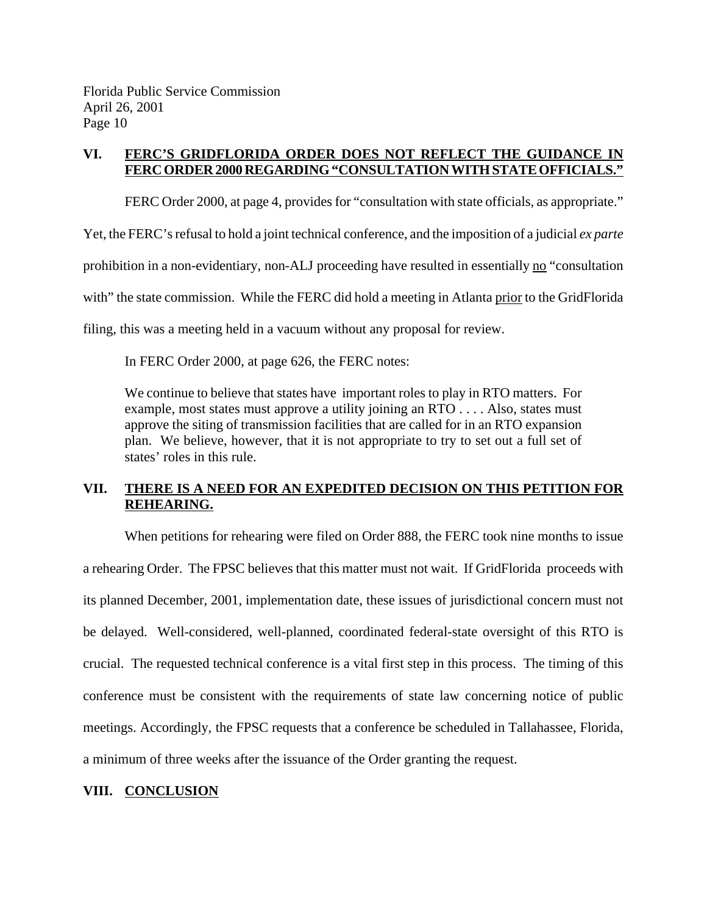## **VI. FERC'S GRIDFLORIDA ORDER DOES NOT REFLECT THE GUIDANCE IN FERC ORDER 2000 REGARDING "CONSULTATION WITH STATE OFFICIALS."**

FERC Order 2000, at page 4, provides for "consultation with state officials, as appropriate."

Yet, the FERC's refusal to hold a joint technical conference, and the imposition of a judicial *ex parte* 

prohibition in a non-evidentiary, non-ALJ proceeding have resulted in essentially no "consultation"

with" the state commission. While the FERC did hold a meeting in Atlanta prior to the GridFlorida

filing, this was a meeting held in a vacuum without any proposal for review.

In FERC Order 2000, at page 626, the FERC notes:

We continue to believe that states have important roles to play in RTO matters. For example, most states must approve a utility joining an RTO . . . . Also, states must approve the siting of transmission facilities that are called for in an RTO expansion plan. We believe, however, that it is not appropriate to try to set out a full set of states' roles in this rule.

## **VII. THERE IS A NEED FOR AN EXPEDITED DECISION ON THIS PETITION FOR REHEARING.**

When petitions for rehearing were filed on Order 888, the FERC took nine months to issue a rehearing Order. The FPSC believes that this matter must not wait. If GridFlorida proceeds with its planned December, 2001, implementation date, these issues of jurisdictional concern must not be delayed. Well-considered, well-planned, coordinated federal-state oversight of this RTO is crucial. The requested technical conference is a vital first step in this process. The timing of this conference must be consistent with the requirements of state law concerning notice of public meetings. Accordingly, the FPSC requests that a conference be scheduled in Tallahassee, Florida, a minimum of three weeks after the issuance of the Order granting the request.

#### **VIII. CONCLUSION**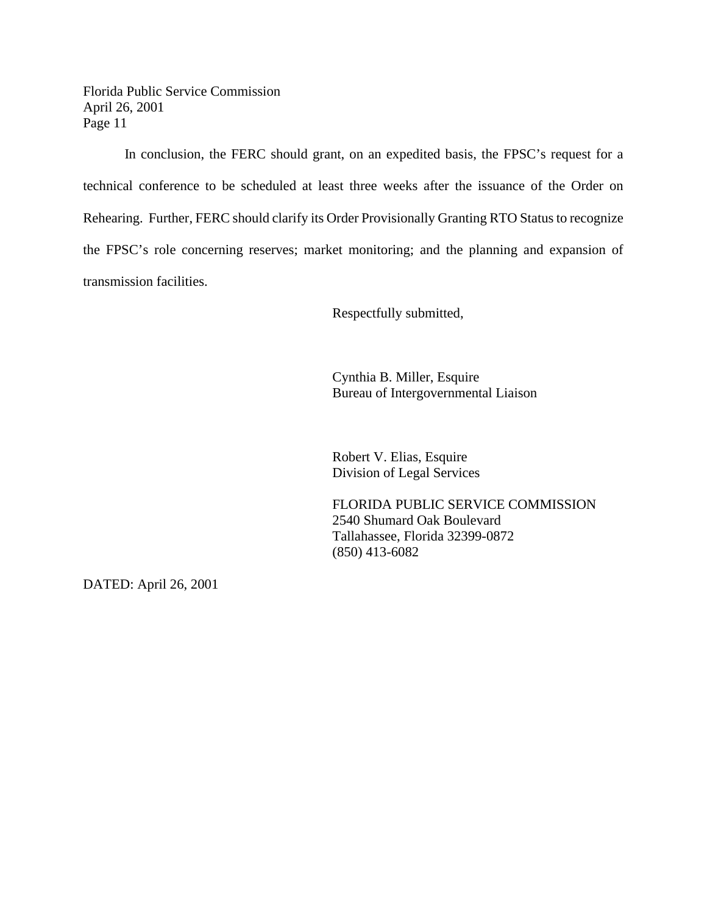In conclusion, the FERC should grant, on an expedited basis, the FPSC's request for a technical conference to be scheduled at least three weeks after the issuance of the Order on Rehearing. Further, FERC should clarify its Order Provisionally Granting RTO Status to recognize the FPSC's role concerning reserves; market monitoring; and the planning and expansion of transmission facilities.

Respectfully submitted,

Cynthia B. Miller, Esquire Bureau of Intergovernmental Liaison

Robert V. Elias, Esquire Division of Legal Services

FLORIDA PUBLIC SERVICE COMMISSION 2540 Shumard Oak Boulevard Tallahassee, Florida 32399-0872 (850) 413-6082

DATED: April 26, 2001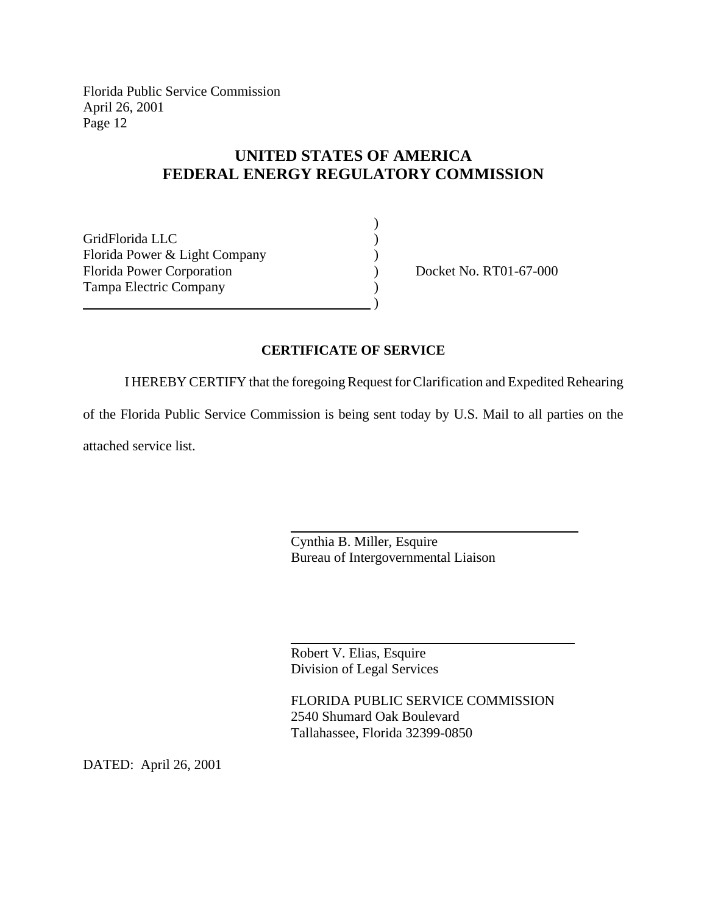# **UNITED STATES OF AMERICA FEDERAL ENERGY REGULATORY COMMISSION**

| GridFlorida LLC                  |  |
|----------------------------------|--|
| Florida Power & Light Company    |  |
| <b>Florida Power Corporation</b> |  |
| Tampa Electric Company           |  |
|                                  |  |

Docket No. RT01-67-000

## **CERTIFICATE OF SERVICE**

I HEREBY CERTIFY that the foregoing Request for Clarification and Expedited Rehearing

of the Florida Public Service Commission is being sent today by U.S. Mail to all parties on the

 $\overline{a}$ 

 $\overline{a}$ 

attached service list.

Cynthia B. Miller, Esquire Bureau of Intergovernmental Liaison

Robert V. Elias, Esquire Division of Legal Services

FLORIDA PUBLIC SERVICE COMMISSION 2540 Shumard Oak Boulevard Tallahassee, Florida 32399-0850

DATED: April 26, 2001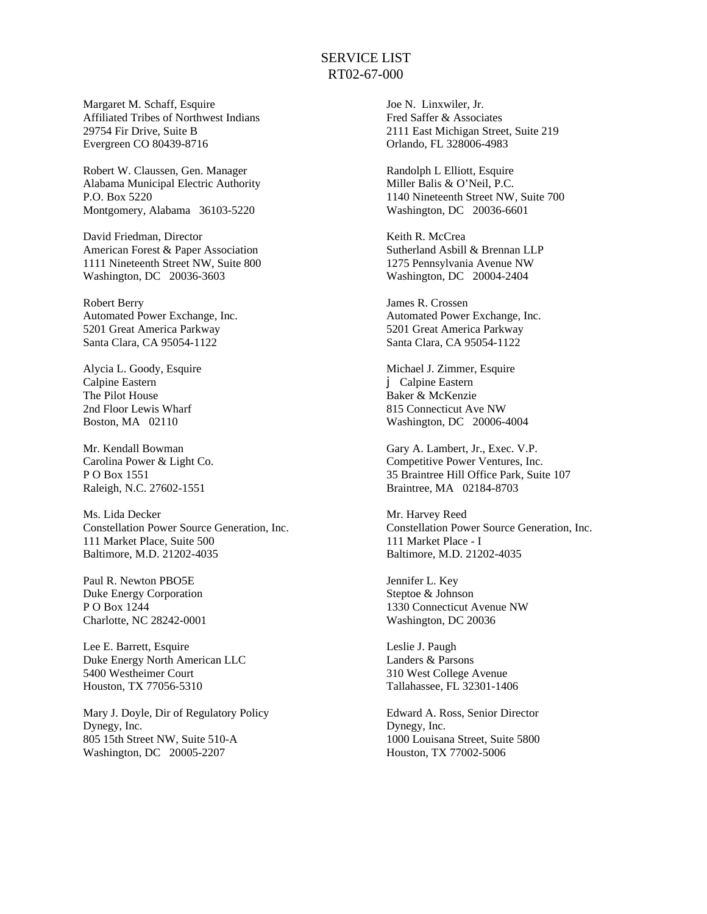#### SERVICE LIST RT02-67-000

Margaret M. Schaff, Esquire Affiliated Tribes of Northwest Indians 29754 Fir Drive, Suite B Evergreen CO 80439-8716

Robert W. Claussen, Gen. Manager Alabama Municipal Electric Authority P.O. Box 5220 Montgomery, Alabama 36103-5220

David Friedman, Director American Forest & Paper Association 1111 Nineteenth Street NW, Suite 800 Washington, DC 20036-3603

Robert Berry Automated Power Exchange, Inc. 5201 Great America Parkway Santa Clara, CA 95054-1122

Alycia L. Goody, Esquire Calpine Eastern The Pilot House 2nd Floor Lewis Wharf Boston, MA 02110

Mr. Kendall Bowman Carolina Power & Light Co. P O Box 1551 Raleigh, N.C. 27602-1551

Ms. Lida Decker Constellation Power Source Generation, Inc. 111 Market Place, Suite 500 Baltimore, M.D. 21202-4035

Paul R. Newton PBO5E Duke Energy Corporation P O Box 1244 Charlotte, NC 28242-0001

Lee E. Barrett, Esquire Duke Energy North American LLC 5400 Westheimer Court Houston, TX 77056-5310

Mary J. Doyle, Dir of Regulatory Policy Dynegy, Inc. 805 15th Street NW, Suite 510-A Washington, DC 20005-2207

Joe N. Linxwiler, Jr. Fred Saffer & Associates 2111 East Michigan Street, Suite 219 Orlando, FL 328006-4983

Randolph L Elliott, Esquire Miller Balis & O'Neil, P.C. 1140 Nineteenth Street NW, Suite 700 Washington, DC 20036-6601

Keith R. McCrea Sutherland Asbill & Brennan LLP 1275 Pennsylvania Avenue NW Washington, DC 20004-2404

James R. Crossen Automated Power Exchange, Inc. 5201 Great America Parkway Santa Clara, CA 95054-1122

Michael J. Zimmer, Esquire j Calpine Eastern Baker & McKenzie 815 Connecticut Ave NW Washington, DC 20006-4004

Gary A. Lambert, Jr., Exec. V.P. Competitive Power Ventures, Inc. 35 Braintree Hill Office Park, Suite 107 Braintree, MA 02184-8703

Mr. Harvey Reed Constellation Power Source Generation, Inc. 111 Market Place - I Baltimore, M.D. 21202-4035

Jennifer L. Key Steptoe & Johnson 1330 Connecticut Avenue NW Washington, DC 20036

Leslie J. Paugh Landers & Parsons 310 West College Avenue Tallahassee, FL 32301-1406

Edward A. Ross, Senior Director Dynegy, Inc. 1000 Louisana Street, Suite 5800 Houston, TX 77002-5006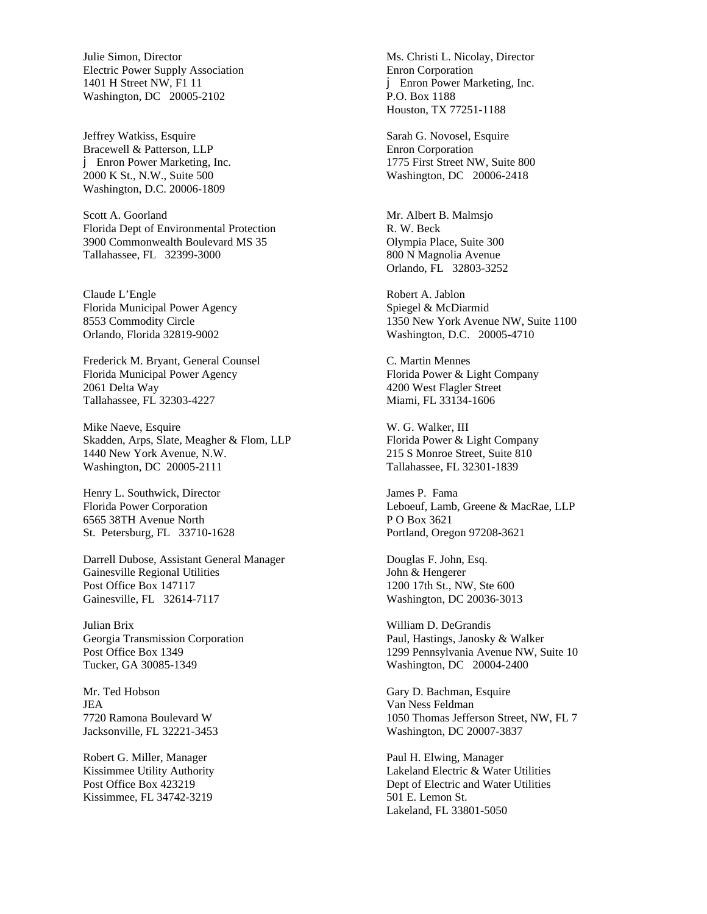Julie Simon, Director Electric Power Supply Association 1401 H Street NW, F1 11 Washington, DC 20005-2102

Jeffrey Watkiss, Esquire Bracewell & Patterson, LLP j Enron Power Marketing, Inc. 2000 K St., N.W., Suite 500 Washington, D.C. 20006-1809

Scott A. Goorland Florida Dept of Environmental Protection 3900 Commonwealth Boulevard MS 35 Tallahassee, FL 32399-3000

Claude L'Engle Florida Municipal Power Agency 8553 Commodity Circle Orlando, Florida 32819-9002

Frederick M. Bryant, General Counsel Florida Municipal Power Agency 2061 Delta Way Tallahassee, FL 32303-4227

Mike Naeve, Esquire Skadden, Arps, Slate, Meagher & Flom, LLP 1440 New York Avenue, N.W. Washington, DC 20005-2111

Henry L. Southwick, Director Florida Power Corporation 6565 38TH Avenue North St. Petersburg, FL 33710-1628

Darrell Dubose, Assistant General Manager Gainesville Regional Utilities Post Office Box 147117 Gainesville, FL 32614-7117

Julian Brix Georgia Transmission Corporation Post Office Box 1349 Tucker, GA 30085-1349

Mr. Ted Hobson JEA 7720 Ramona Boulevard W Jacksonville, FL 32221-3453

Robert G. Miller, Manager Kissimmee Utility Authority Post Office Box 423219 Kissimmee, FL 34742-3219

Ms. Christi L. Nicolay, Director Enron Corporation j Enron Power Marketing, Inc. P.O. Box 1188 Houston, TX 77251-1188

Sarah G. Novosel, Esquire Enron Corporation 1775 First Street NW, Suite 800 Washington, DC 20006-2418

Mr. Albert B. Malmsjo R. W. Beck Olympia Place, Suite 300 800 N Magnolia Avenue Orlando, FL 32803-3252

Robert A. Jablon Spiegel & McDiarmid 1350 New York Avenue NW, Suite 1100 Washington, D.C. 20005-4710

C. Martin Mennes Florida Power & Light Company 4200 West Flagler Street Miami, FL 33134-1606

W. G. Walker, III Florida Power & Light Company 215 S Monroe Street, Suite 810 Tallahassee, FL 32301-1839

James P. Fama Leboeuf, Lamb, Greene & MacRae, LLP P O Box 3621 Portland, Oregon 97208-3621

Douglas F. John, Esq. John & Hengerer 1200 17th St., NW, Ste 600 Washington, DC 20036-3013

William D. DeGrandis Paul, Hastings, Janosky & Walker 1299 Pennsylvania Avenue NW, Suite 10 Washington, DC 20004-2400

Gary D. Bachman, Esquire Van Ness Feldman 1050 Thomas Jefferson Street, NW, FL 7 Washington, DC 20007-3837

Paul H. Elwing, Manager Lakeland Electric & Water Utilities Dept of Electric and Water Utilities 501 E. Lemon St. Lakeland, FL 33801-5050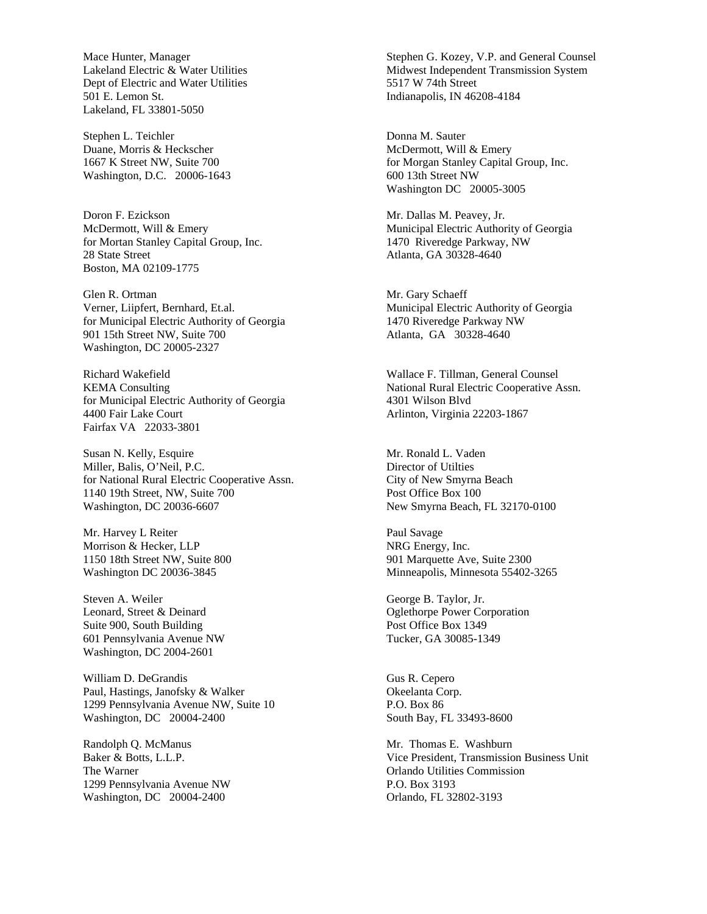Mace Hunter, Manager Lakeland Electric & Water Utilities Dept of Electric and Water Utilities 501 E. Lemon St. Lakeland, FL 33801-5050

Stephen L. Teichler Duane, Morris & Heckscher 1667 K Street NW, Suite 700 Washington, D.C. 20006-1643

Doron F. Ezickson McDermott, Will & Emery for Mortan Stanley Capital Group, Inc. 28 State Street Boston, MA 02109-1775

Glen R. Ortman Verner, Liipfert, Bernhard, Et.al. for Municipal Electric Authority of Georgia 901 15th Street NW, Suite 700 Washington, DC 20005-2327

Richard Wakefield KEMA Consulting for Municipal Electric Authority of Georgia 4400 Fair Lake Court Fairfax VA 22033-3801

Susan N. Kelly, Esquire Miller, Balis, O'Neil, P.C. for National Rural Electric Cooperative Assn. 1140 19th Street, NW, Suite 700 Washington, DC 20036-6607

Mr. Harvey L Reiter Morrison & Hecker, LLP 1150 18th Street NW, Suite 800 Washington DC 20036-3845

Steven A. Weiler Leonard, Street & Deinard Suite 900, South Building 601 Pennsylvania Avenue NW Washington, DC 2004-2601

William D. DeGrandis Paul, Hastings, Janofsky & Walker 1299 Pennsylvania Avenue NW, Suite 10 Washington, DC 20004-2400

Randolph Q. McManus Baker & Botts, L.L.P. The Warner 1299 Pennsylvania Avenue NW Washington, DC 20004-2400

Stephen G. Kozey, V.P. and General Counsel Midwest Independent Transmission System 5517 W 74th Street Indianapolis, IN 46208-4184

Donna M. Sauter McDermott, Will & Emery for Morgan Stanley Capital Group, Inc. 600 13th Street NW Washington DC 20005-3005

Mr. Dallas M. Peavey, Jr. Municipal Electric Authority of Georgia 1470 Riveredge Parkway, NW Atlanta, GA 30328-4640

Mr. Gary Schaeff Municipal Electric Authority of Georgia 1470 Riveredge Parkway NW Atlanta, GA 30328-4640

Wallace F. Tillman, General Counsel National Rural Electric Cooperative Assn. 4301 Wilson Blvd Arlinton, Virginia 22203-1867

Mr. Ronald L. Vaden Director of Utilties City of New Smyrna Beach Post Office Box 100 New Smyrna Beach, FL 32170-0100

Paul Savage NRG Energy, Inc. 901 Marquette Ave, Suite 2300 Minneapolis, Minnesota 55402-3265

George B. Taylor, Jr. Oglethorpe Power Corporation Post Office Box 1349 Tucker, GA 30085-1349

Gus R. Cepero Okeelanta Corp. P.O. Box 86 South Bay, FL 33493-8600

Mr. Thomas E. Washburn Vice President, Transmission Business Unit Orlando Utilities Commission P.O. Box 3193 Orlando, FL 32802-3193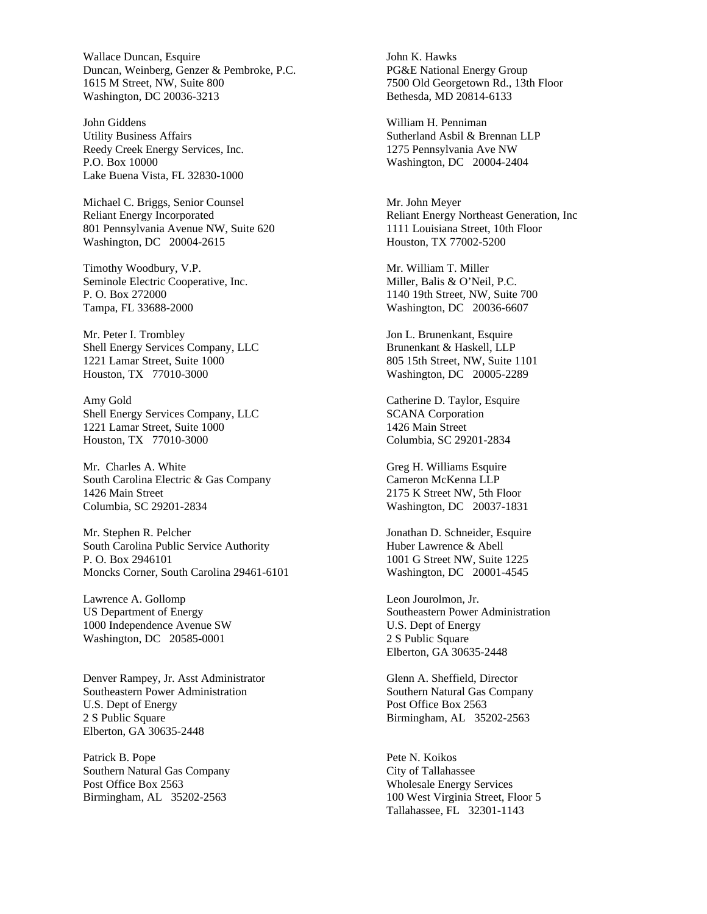Wallace Duncan, Esquire Duncan, Weinberg, Genzer & Pembroke, P.C. 1615 M Street, NW, Suite 800 Washington, DC 20036-3213

John Giddens Utility Business Affairs Reedy Creek Energy Services, Inc. P.O. Box 10000 Lake Buena Vista, FL 32830-1000

Michael C. Briggs, Senior Counsel Reliant Energy Incorporated 801 Pennsylvania Avenue NW, Suite 620 Washington, DC 20004-2615

Timothy Woodbury, V.P. Seminole Electric Cooperative, Inc. P. O. Box 272000 Tampa, FL 33688-2000

Mr. Peter I. Trombley Shell Energy Services Company, LLC 1221 Lamar Street, Suite 1000 Houston, TX 77010-3000

Amy Gold Shell Energy Services Company, LLC 1221 Lamar Street, Suite 1000 Houston, TX 77010-3000

Mr. Charles A. White South Carolina Electric & Gas Company 1426 Main Street Columbia, SC 29201-2834

Mr. Stephen R. Pelcher South Carolina Public Service Authority P. O. Box 2946101 Moncks Corner, South Carolina 29461-6101

Lawrence A. Gollomp US Department of Energy 1000 Independence Avenue SW Washington, DC 20585-0001

Denver Rampey, Jr. Asst Administrator Southeastern Power Administration U.S. Dept of Energy 2 S Public Square Elberton, GA 30635-2448

Patrick B. Pope Southern Natural Gas Company Post Office Box 2563 Birmingham, AL 35202-2563

John K. Hawks PG&E National Energy Group 7500 Old Georgetown Rd., 13th Floor Bethesda, MD 20814-6133

William H. Penniman Sutherland Asbil & Brennan LLP 1275 Pennsylvania Ave NW Washington, DC 20004-2404

Mr. John Meyer Reliant Energy Northeast Generation, Inc 1111 Louisiana Street, 10th Floor Houston, TX 77002-5200

Mr. William T. Miller Miller, Balis & O'Neil, P.C. 1140 19th Street, NW, Suite 700 Washington, DC 20036-6607

Jon L. Brunenkant, Esquire Brunenkant & Haskell, LLP 805 15th Street, NW, Suite 1101 Washington, DC 20005-2289

Catherine D. Taylor, Esquire SCANA Corporation 1426 Main Street Columbia, SC 29201-2834

Greg H. Williams Esquire Cameron McKenna LLP 2175 K Street NW, 5th Floor Washington, DC 20037-1831

Jonathan D. Schneider, Esquire Huber Lawrence & Abell 1001 G Street NW, Suite 1225 Washington, DC 20001-4545

Leon Jourolmon, Jr. Southeastern Power Administration U.S. Dept of Energy 2 S Public Square Elberton, GA 30635-2448

Glenn A. Sheffield, Director Southern Natural Gas Company Post Office Box 2563 Birmingham, AL 35202-2563

Pete N. Koikos City of Tallahassee Wholesale Energy Services 100 West Virginia Street, Floor 5 Tallahassee, FL 32301-1143